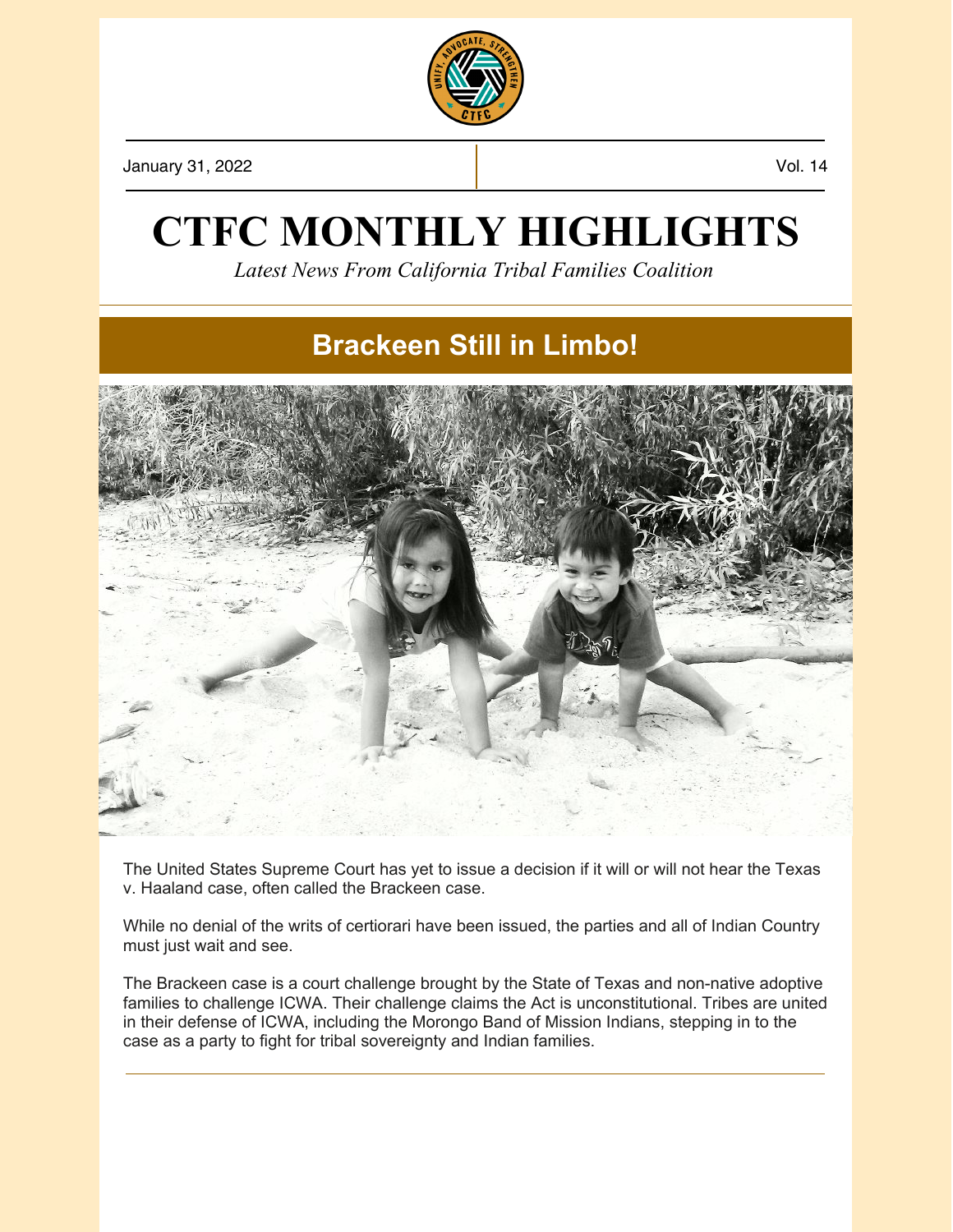

January 31, 2022 Vol. 14

## **CTFC MONTHLY HIGHLIGHTS**

*Latest News From California Tribal Families Coalition*

### **Brackeen Still in Limbo!**



The United States Supreme Court has yet to issue a decision if it will or will not hear the Texas v. Haaland case, often called the Brackeen case.

While no denial of the writs of certiorari have been issued, the parties and all of Indian Country must just wait and see.

The Brackeen case is a court challenge brought by the State of Texas and non-native adoptive families to challenge ICWA. Their challenge claims the Act is unconstitutional. Tribes are united in their defense of ICWA, including the Morongo Band of Mission Indians, stepping in to the case as a party to fight for tribal sovereignty and Indian families.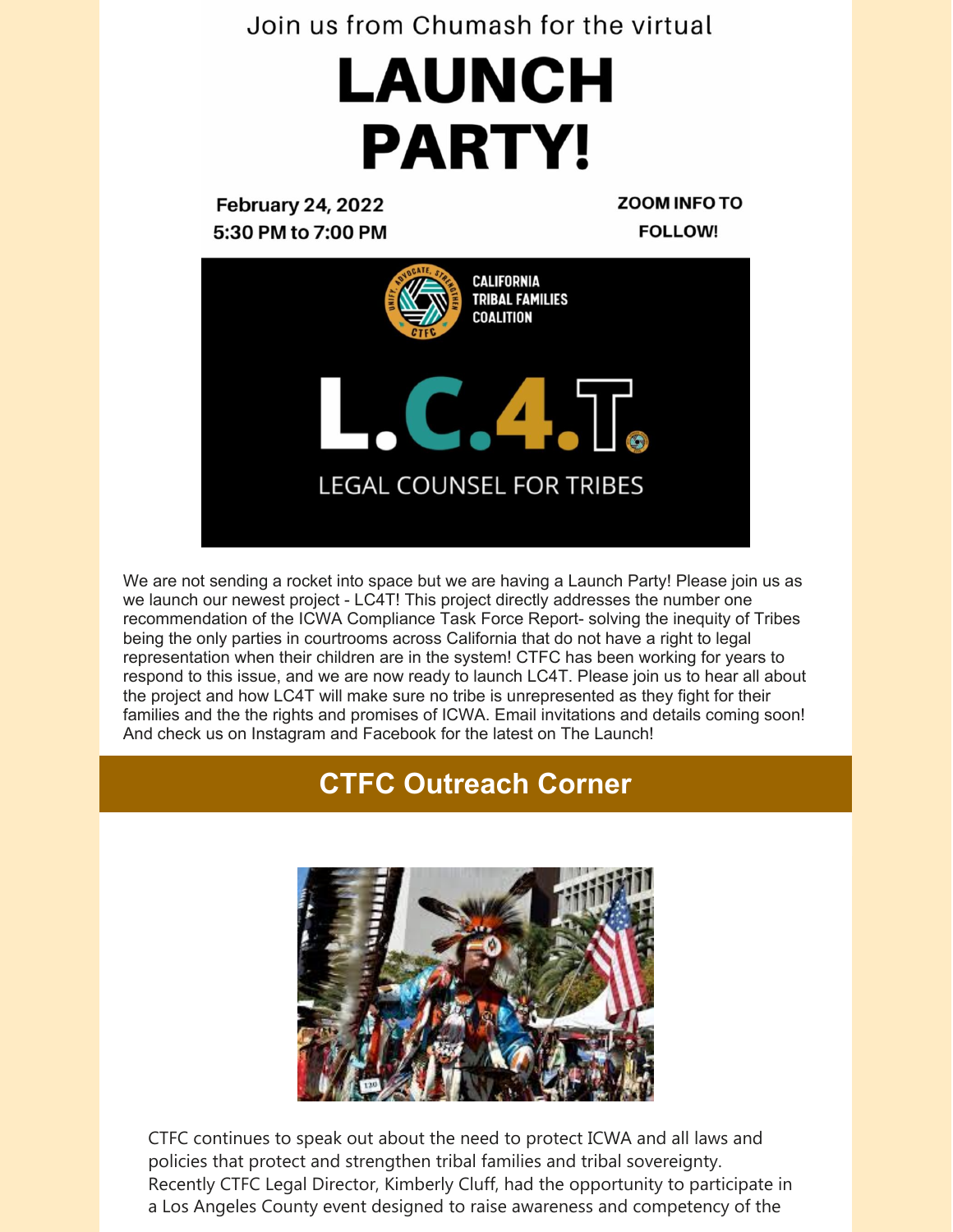#### Join us from Chumash for the virtual

# LAUNCH **PARTY!**

**February 24, 2022** 5:30 PM to 7:00 PM **ZOOM INFO TO FOLLOW!** 



We are not sending a rocket into space but we are having a Launch Party! Please join us as we launch our newest project - LC4T! This project directly addresses the number one recommendation of the ICWA Compliance Task Force Report- solving the inequity of Tribes being the only parties in courtrooms across California that do not have a right to legal representation when their children are in the system! CTFC has been working for years to respond to this issue, and we are now ready to launch LC4T. Please join us to hear all about the project and how LC4T will make sure no tribe is unrepresented as they fight for their families and the the rights and promises of ICWA. Email invitations and details coming soon! And check us on Instagram and Facebook for the latest on The Launch!

## **CTFC Outreach Corner**



CTFC continues to speak out about the need to protect ICWA and all laws and policies that protect and strengthen tribal families and tribal sovereignty. Recently CTFC Legal Director, Kimberly Cluff, had the opportunity to participate in a Los Angeles County event designed to raise awareness and competency of the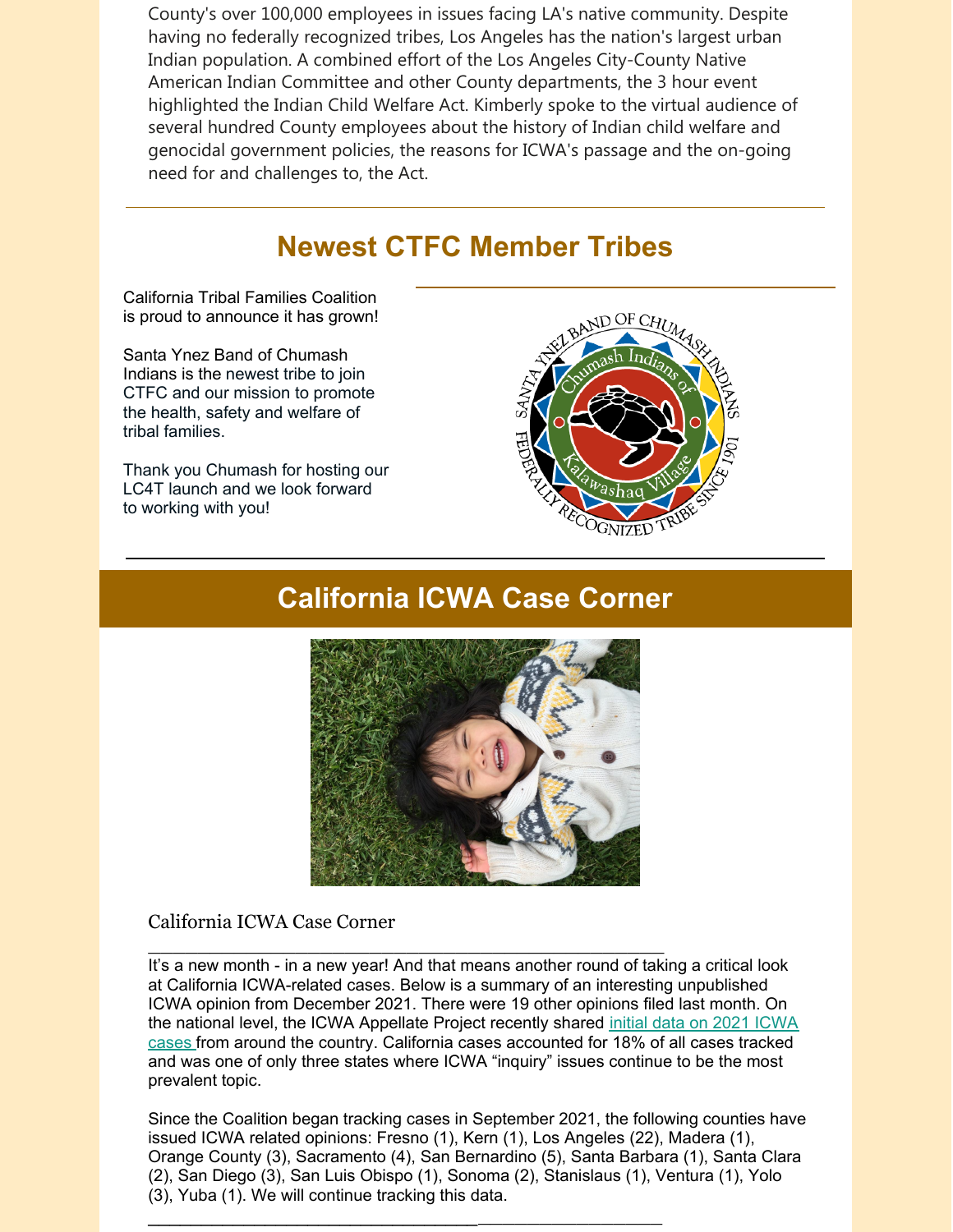County's over 100,000 employees in issues facing LA's native community. Despite having no federally recognized tribes, Los Angeles has the nation's largest urban Indian population. A combined effort of the Los Angeles City-County Native American Indian Committee and other County departments, the 3 hour event highlighted the Indian Child Welfare Act. Kimberly spoke to the virtual audience of several hundred County employees about the history of Indian child welfare and genocidal government policies, the reasons for ICWA's passage and the on-going need for and challenges to, the Act.

### **Newest CTFC Member Tribes**

California Tribal Families Coalition is proud to announce it has grown!

Santa Ynez Band of Chumash Indians is the newest tribe to join CTFC and our mission to promote the health, safety and welfare of tribal families.

Thank you Chumash for hosting our LC4T launch and we look forward to working with you!



#### **California ICWA Case Corner**



#### California ICWA Case Corner

It's a new month - in a new year! And that means another round of taking a critical look at California ICWA-related cases. Below is a summary of an interesting unpublished ICWA opinion from December 2021. There were 19 other opinions filed last month. On the national level, the ICWA Appellate Project recently shared initial data on 2021 ICWA cases from around the country. California cases [accounted](https://turtletalk.blog/2022/01/20/2021-icwa-cases-initial-screenshots/) for 18% of all cases tracked and was one of only three states where ICWA "inquiry" issues continue to be the most prevalent topic.

\_\_\_\_\_\_\_\_\_\_\_\_\_\_\_\_\_\_\_\_\_\_\_\_\_\_\_\_\_\_\_\_\_\_\_\_\_\_\_\_\_\_

\_\_\_\_\_\_\_\_\_\_\_\_\_\_\_\_\_\_\_\_\_\_\_\_\_\_\_\_\_\_\_\_\_\_\_\_\_\_\_\_\_\_\_\_\_\_

Since the Coalition began tracking cases in September 2021, the following counties have issued ICWA related opinions: Fresno (1), Kern (1), Los Angeles (22), Madera (1), Orange County (3), Sacramento (4), San Bernardino (5), Santa Barbara (1), Santa Clara (2), San Diego (3), San Luis Obispo (1), Sonoma (2), Stanislaus (1), Ventura (1), Yolo (3), Yuba (1). We will continue tracking this data.